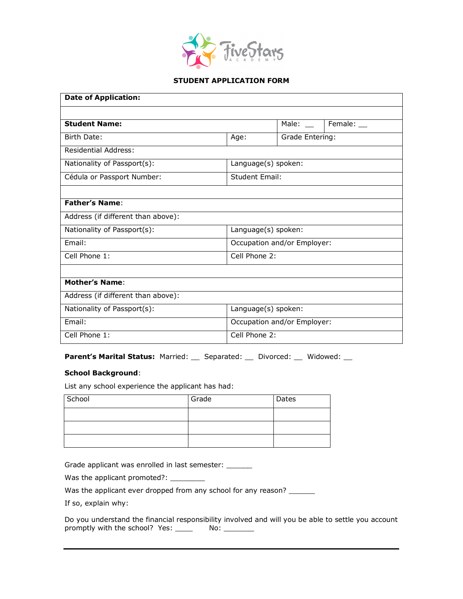

## **STUDENT APPLICATION FORM**

| <b>Date of Application:</b>        |                             |                 |            |  |
|------------------------------------|-----------------------------|-----------------|------------|--|
|                                    |                             |                 |            |  |
| <b>Student Name:</b>               |                             | Male: $\_\_$    | Female: __ |  |
| Birth Date:                        | Age:                        | Grade Entering: |            |  |
| <b>Residential Address:</b>        |                             |                 |            |  |
| Nationality of Passport(s):        | Language(s) spoken:         |                 |            |  |
| Cédula or Passport Number:         | <b>Student Email:</b>       |                 |            |  |
|                                    |                             |                 |            |  |
| <b>Father's Name:</b>              |                             |                 |            |  |
| Address (if different than above): |                             |                 |            |  |
| Nationality of Passport(s):        | Language(s) spoken:         |                 |            |  |
| Email:                             | Occupation and/or Employer: |                 |            |  |
| Cell Phone 1:                      | Cell Phone 2:               |                 |            |  |
|                                    |                             |                 |            |  |
| <b>Mother's Name:</b>              |                             |                 |            |  |
| Address (if different than above): |                             |                 |            |  |
| Nationality of Passport(s):        | Language(s) spoken:         |                 |            |  |
| Email:                             | Occupation and/or Employer: |                 |            |  |
| Cell Phone 1:                      | Cell Phone 2:               |                 |            |  |

Parent's Marital Status: Married: \_\_ Separated: \_\_ Divorced: \_\_ Widowed: \_\_

## **School Background**:

List any school experience the applicant has had:

| School | Grade | Dates |
|--------|-------|-------|
|        |       |       |
|        |       |       |
|        |       |       |

Grade applicant was enrolled in last semester: \_\_\_\_\_\_

Was the applicant promoted?: \_\_\_\_\_\_\_\_\_

Was the applicant ever dropped from any school for any reason? \_\_\_\_\_\_

If so, explain why:

Do you understand the financial responsibility involved and will you be able to settle you account promptly with the school? Yes: \_\_\_\_\_ No: \_\_\_\_\_\_\_